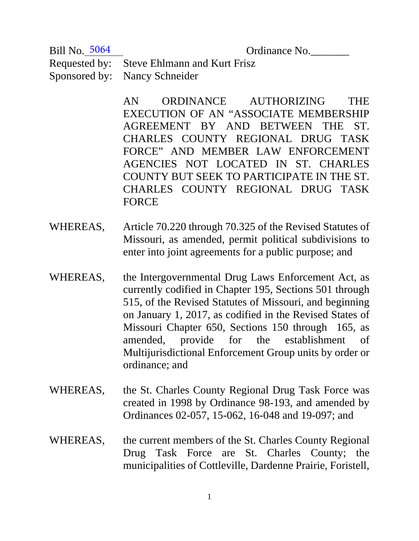Bill No. 5064

Ordinance No.

Requested by: Steve Ehlmann and Kurt Frisz Sponsored by: Nancy Schneider

> AN ORDINANCE AUTHORIZING THE EXECUTION OF AN "ASSOCIATE MEMBERSHIP AGREEMENT BY AND BETWEEN THE ST. CHARLES COUNTY REGIONAL DRUG TASK FORCE" AND MEMBER LAW ENFORCEMENT AGENCIES NOT LOCATED IN ST. CHARLES COUNTY BUT SEEK TO PARTICIPATE IN THE ST. CHARLES COUNTY REGIONAL DRUG TASK FORCE

- WHEREAS, Article 70.220 through 70.325 of the Revised Statutes of Missouri, as amended, permit political subdivisions to enter into joint agreements for a public purpose; and
- WHEREAS, the Intergovernmental Drug Laws Enforcement Act, as currently codified in Chapter 195, Sections 501 through 515, of the Revised Statutes of Missouri, and beginning on January 1, 2017, as codified in the Revised States of Missouri Chapter 650, Sections 150 through 165, as amended, provide for the establishment of Multijurisdictional Enforcement Group units by order or ordinance; and
- WHEREAS, the St. Charles County Regional Drug Task Force was created in 1998 by Ordinance 98-193, and amended by Ordinances 02-057, 15-062, 16-048 and 19-097; and
- WHEREAS, the current members of the St. Charles County Regional Drug Task Force are St. Charles County; the municipalities of Cottleville, Dardenne Prairie, Foristell,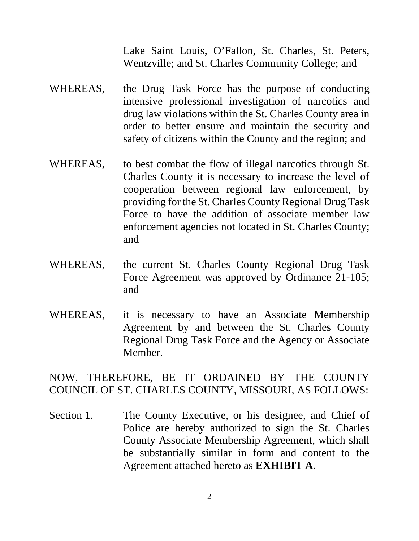Lake Saint Louis, O'Fallon, St. Charles, St. Peters, Wentzville; and St. Charles Community College; and

- WHEREAS, the Drug Task Force has the purpose of conducting intensive professional investigation of narcotics and drug law violations within the St. Charles County area in order to better ensure and maintain the security and safety of citizens within the County and the region; and
- WHEREAS, to best combat the flow of illegal narcotics through St. Charles County it is necessary to increase the level of cooperation between regional law enforcement, by providing for the St. Charles County Regional Drug Task Force to have the addition of associate member law enforcement agencies not located in St. Charles County; and
- WHEREAS, the current St. Charles County Regional Drug Task Force Agreement was approved by Ordinance 21-105; and
- WHEREAS, it is necessary to have an Associate Membership Agreement by and between the St. Charles County Regional Drug Task Force and the Agency or Associate Member.

NOW, THEREFORE, BE IT ORDAINED BY THE COUNTY COUNCIL OF ST. CHARLES COUNTY, MISSOURI, AS FOLLOWS:

Section 1. The County Executive, or his designee, and Chief of Police are hereby authorized to sign the St. Charles County Associate Membership Agreement, which shall be substantially similar in form and content to the Agreement attached hereto as **EXHIBIT A**.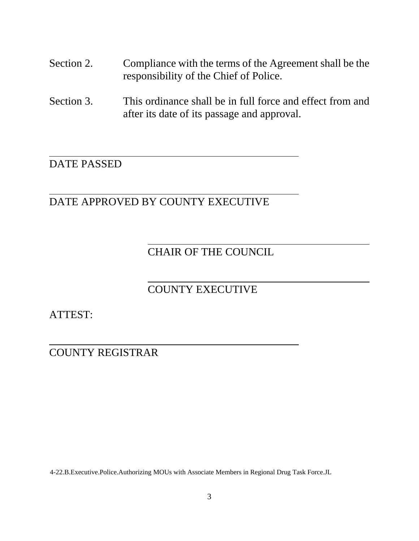- Section 2. Compliance with the terms of the Agreement shall be the responsibility of the Chief of Police.
- Section 3. This ordinance shall be in full force and effect from and after its date of its passage and approval.

# DATE PASSED

### DATE APPROVED BY COUNTY EXECUTIVE

## CHAIR OF THE COUNCIL

### COUNTY EXECUTIVE

ATTEST:

COUNTY REGISTRAR

4-22.B.Executive.Police.Authorizing MOUs with Associate Members in Regional Drug Task Force.JL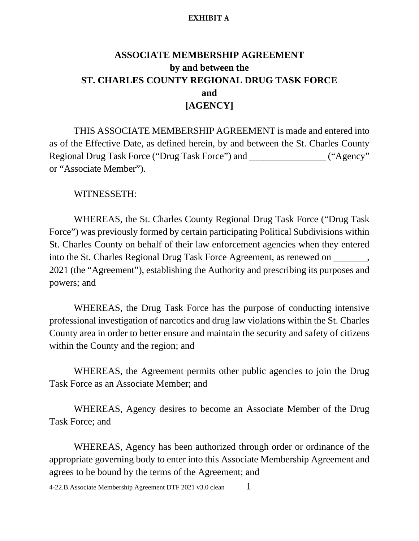#### **EXHIBIT A**

## **ASSOCIATE MEMBERSHIP AGREEMENT by and between the ST. CHARLES COUNTY REGIONAL DRUG TASK FORCE and [AGENCY]**

THIS ASSOCIATE MEMBERSHIP AGREEMENT is made and entered into as of the Effective Date, as defined herein, by and between the St. Charles County Regional Drug Task Force ("Drug Task Force") and \_\_\_\_\_\_\_\_\_\_\_\_\_\_\_\_\_\_ ("Agency" or "Associate Member").

### WITNESSETH:

WHEREAS, the St. Charles County Regional Drug Task Force ("Drug Task Force") was previously formed by certain participating Political Subdivisions within St. Charles County on behalf of their law enforcement agencies when they entered into the St. Charles Regional Drug Task Force Agreement, as renewed on  $\blacksquare$ , 2021 (the "Agreement"), establishing the Authority and prescribing its purposes and powers; and

WHEREAS, the Drug Task Force has the purpose of conducting intensive professional investigation of narcotics and drug law violations within the St. Charles County area in order to better ensure and maintain the security and safety of citizens within the County and the region; and

WHEREAS, the Agreement permits other public agencies to join the Drug Task Force as an Associate Member; and

WHEREAS, Agency desires to become an Associate Member of the Drug Task Force; and

WHEREAS, Agency has been authorized through order or ordinance of the appropriate governing body to enter into this Associate Membership Agreement and agrees to be bound by the terms of the Agreement; and

4-22.B.Associate Membership Agreement DTF 2021 v3.0 clean 1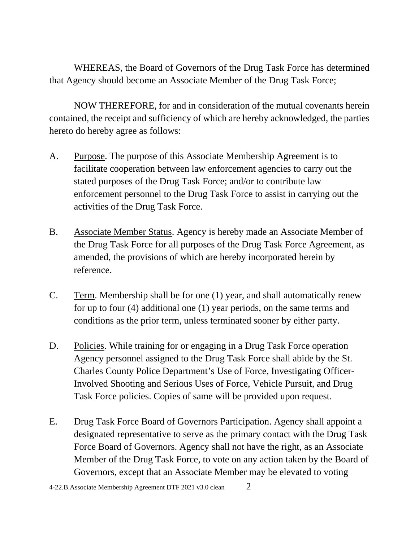WHEREAS, the Board of Governors of the Drug Task Force has determined that Agency should become an Associate Member of the Drug Task Force;

NOW THEREFORE, for and in consideration of the mutual covenants herein contained, the receipt and sufficiency of which are hereby acknowledged, the parties hereto do hereby agree as follows:

- A. Purpose. The purpose of this Associate Membership Agreement is to facilitate cooperation between law enforcement agencies to carry out the stated purposes of the Drug Task Force; and/or to contribute law enforcement personnel to the Drug Task Force to assist in carrying out the activities of the Drug Task Force.
- B. Associate Member Status. Agency is hereby made an Associate Member of the Drug Task Force for all purposes of the Drug Task Force Agreement, as amended, the provisions of which are hereby incorporated herein by reference.
- C. Term. Membership shall be for one (1) year, and shall automatically renew for up to four (4) additional one (1) year periods, on the same terms and conditions as the prior term, unless terminated sooner by either party.
- D. Policies. While training for or engaging in a Drug Task Force operation Agency personnel assigned to the Drug Task Force shall abide by the St. Charles County Police Department's Use of Force, Investigating Officer-Involved Shooting and Serious Uses of Force, Vehicle Pursuit, and Drug Task Force policies. Copies of same will be provided upon request.
- E. Drug Task Force Board of Governors Participation. Agency shall appoint a designated representative to serve as the primary contact with the Drug Task Force Board of Governors. Agency shall not have the right, as an Associate Member of the Drug Task Force, to vote on any action taken by the Board of Governors, except that an Associate Member may be elevated to voting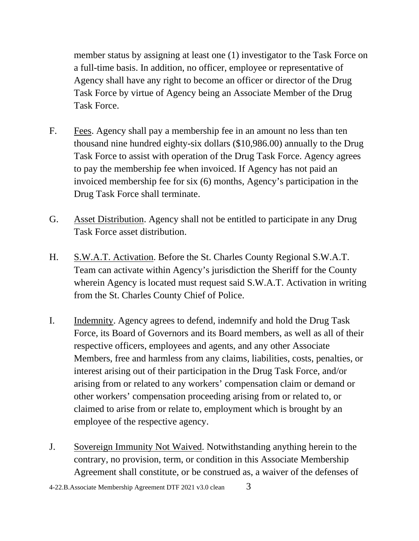member status by assigning at least one (1) investigator to the Task Force on a full-time basis. In addition, no officer, employee or representative of Agency shall have any right to become an officer or director of the Drug Task Force by virtue of Agency being an Associate Member of the Drug Task Force.

- F. Fees. Agency shall pay a membership fee in an amount no less than ten thousand nine hundred eighty-six dollars (\$10,986.00) annually to the Drug Task Force to assist with operation of the Drug Task Force. Agency agrees to pay the membership fee when invoiced. If Agency has not paid an invoiced membership fee for six (6) months, Agency's participation in the Drug Task Force shall terminate.
- G. Asset Distribution. Agency shall not be entitled to participate in any Drug Task Force asset distribution.
- H. S.W.A.T. Activation. Before the St. Charles County Regional S.W.A.T. Team can activate within Agency's jurisdiction the Sheriff for the County wherein Agency is located must request said S.W.A.T. Activation in writing from the St. Charles County Chief of Police.
- I. Indemnity. Agency agrees to defend, indemnify and hold the Drug Task Force, its Board of Governors and its Board members, as well as all of their respective officers, employees and agents, and any other Associate Members, free and harmless from any claims, liabilities, costs, penalties, or interest arising out of their participation in the Drug Task Force, and/or arising from or related to any workers' compensation claim or demand or other workers' compensation proceeding arising from or related to, or claimed to arise from or relate to, employment which is brought by an employee of the respective agency.
- J. Sovereign Immunity Not Waived. Notwithstanding anything herein to the contrary, no provision, term, or condition in this Associate Membership Agreement shall constitute, or be construed as, a waiver of the defenses of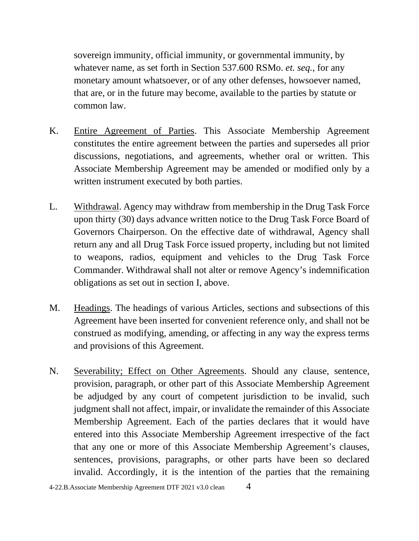sovereign immunity, official immunity, or governmental immunity, by whatever name, as set forth in Section 537.600 RSMo. *et. seq.*, for any monetary amount whatsoever, or of any other defenses, howsoever named, that are, or in the future may become, available to the parties by statute or common law.

- K. Entire Agreement of Parties. This Associate Membership Agreement constitutes the entire agreement between the parties and supersedes all prior discussions, negotiations, and agreements, whether oral or written. This Associate Membership Agreement may be amended or modified only by a written instrument executed by both parties.
- L. Withdrawal. Agency may withdraw from membership in the Drug Task Force upon thirty (30) days advance written notice to the Drug Task Force Board of Governors Chairperson. On the effective date of withdrawal, Agency shall return any and all Drug Task Force issued property, including but not limited to weapons, radios, equipment and vehicles to the Drug Task Force Commander. Withdrawal shall not alter or remove Agency's indemnification obligations as set out in section I, above.
- M. Headings. The headings of various Articles, sections and subsections of this Agreement have been inserted for convenient reference only, and shall not be construed as modifying, amending, or affecting in any way the express terms and provisions of this Agreement.
- N. Severability; Effect on Other Agreements. Should any clause, sentence, provision, paragraph, or other part of this Associate Membership Agreement be adjudged by any court of competent jurisdiction to be invalid, such judgment shall not affect, impair, or invalidate the remainder of this Associate Membership Agreement. Each of the parties declares that it would have entered into this Associate Membership Agreement irrespective of the fact that any one or more of this Associate Membership Agreement's clauses, sentences, provisions, paragraphs, or other parts have been so declared invalid. Accordingly, it is the intention of the parties that the remaining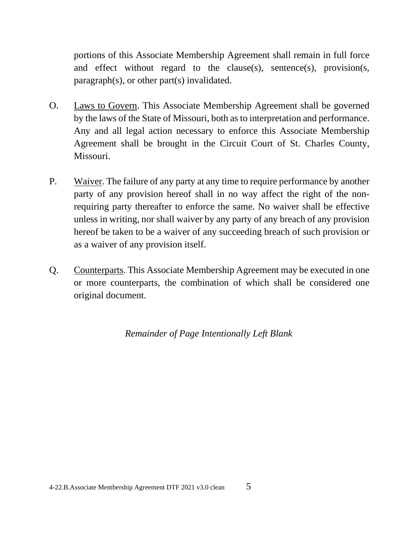portions of this Associate Membership Agreement shall remain in full force and effect without regard to the clause(s), sentence(s), provision(s, paragraph(s), or other part(s) invalidated.

- O. Laws to Govern. This Associate Membership Agreement shall be governed by the laws of the State of Missouri, both as to interpretation and performance. Any and all legal action necessary to enforce this Associate Membership Agreement shall be brought in the Circuit Court of St. Charles County, Missouri.
- P. Waiver. The failure of any party at any time to require performance by another party of any provision hereof shall in no way affect the right of the nonrequiring party thereafter to enforce the same. No waiver shall be effective unless in writing, nor shall waiver by any party of any breach of any provision hereof be taken to be a waiver of any succeeding breach of such provision or as a waiver of any provision itself.
- Q. Counterparts. This Associate Membership Agreement may be executed in one or more counterparts, the combination of which shall be considered one original document.

*Remainder of Page Intentionally Left Blank*